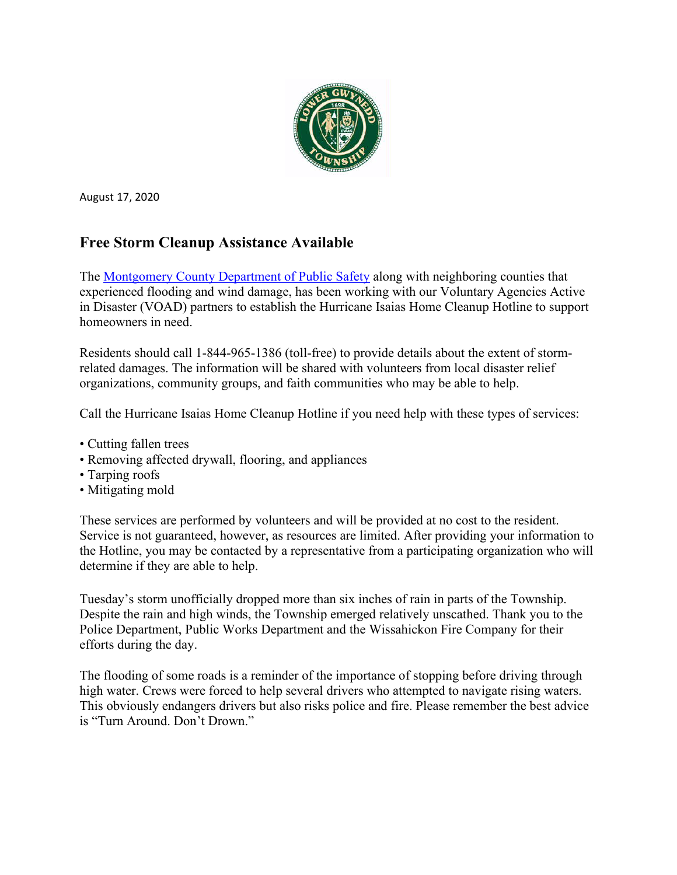

August 17, 2020

### **Free Storm Cleanup Assistance Available**

The [Montgomery County Department of Public Safety](https://www.montcopa.org/132/Public-Safety) along with neighboring counties that experienced flooding and wind damage, has been working with our Voluntary Agencies Active in Disaster (VOAD) partners to establish the Hurricane Isaias Home Cleanup Hotline to support homeowners in need.

Residents should call 1-844-965-1386 (toll-free) to provide details about the extent of stormrelated damages. The information will be shared with volunteers from local disaster relief organizations, community groups, and faith communities who may be able to help.

Call the Hurricane Isaias Home Cleanup Hotline if you need help with these types of services:

- Cutting fallen trees
- Removing affected drywall, flooring, and appliances
- Tarping roofs
- Mitigating mold

These services are performed by volunteers and will be provided at no cost to the resident. Service is not guaranteed, however, as resources are limited. After providing your information to the Hotline, you may be contacted by a representative from a participating organization who will determine if they are able to help.

Tuesday's storm unofficially dropped more than six inches of rain in parts of the Township. Despite the rain and high winds, the Township emerged relatively unscathed. Thank you to the Police Department, Public Works Department and the Wissahickon Fire Company for their efforts during the day.

The flooding of some roads is a reminder of the importance of stopping before driving through high water. Crews were forced to help several drivers who attempted to navigate rising waters. This obviously endangers drivers but also risks police and fire. Please remember the best advice is "Turn Around. Don't Drown."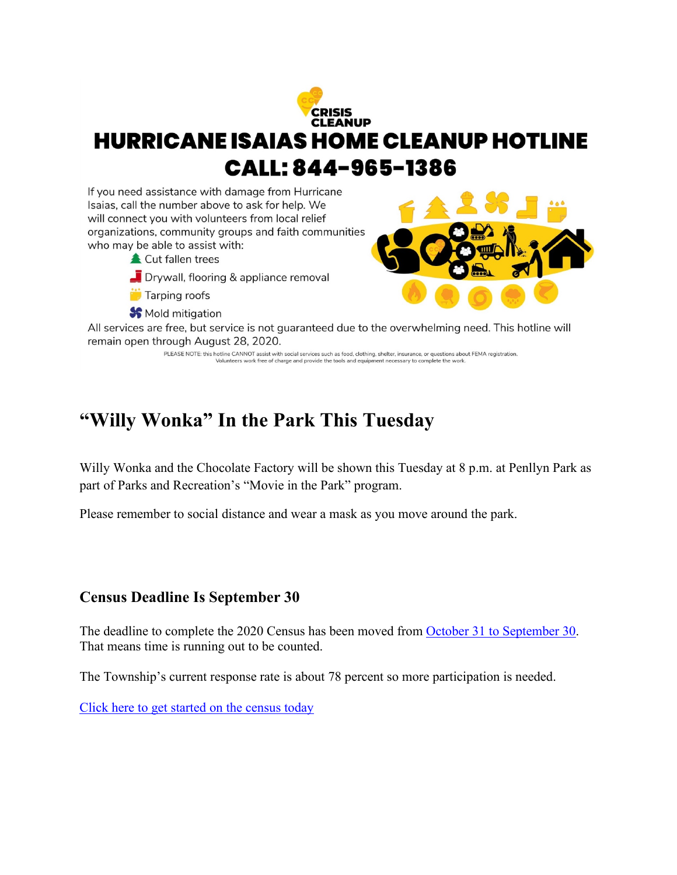

# **"Willy Wonka" In the Park This Tuesday**

Willy Wonka and the Chocolate Factory will be shown this Tuesday at 8 p.m. at Penllyn Park as part of Parks and Recreation's "Movie in the Park" program.

Please remember to social distance and wear a mask as you move around the park.

#### **Census Deadline Is September 30**

The deadline to complete the 2020 Census has been moved from [October 31 to September 30.](https://2020census.gov/en/news-events/operational-adjustments-covid-19.html) That means time is running out to be counted.

The Township's current response rate is about 78 percent so more participation is needed.

[Click here to get started on the census today](https://2020census.gov/en/news-events/operational-adjustments-covid-19.html)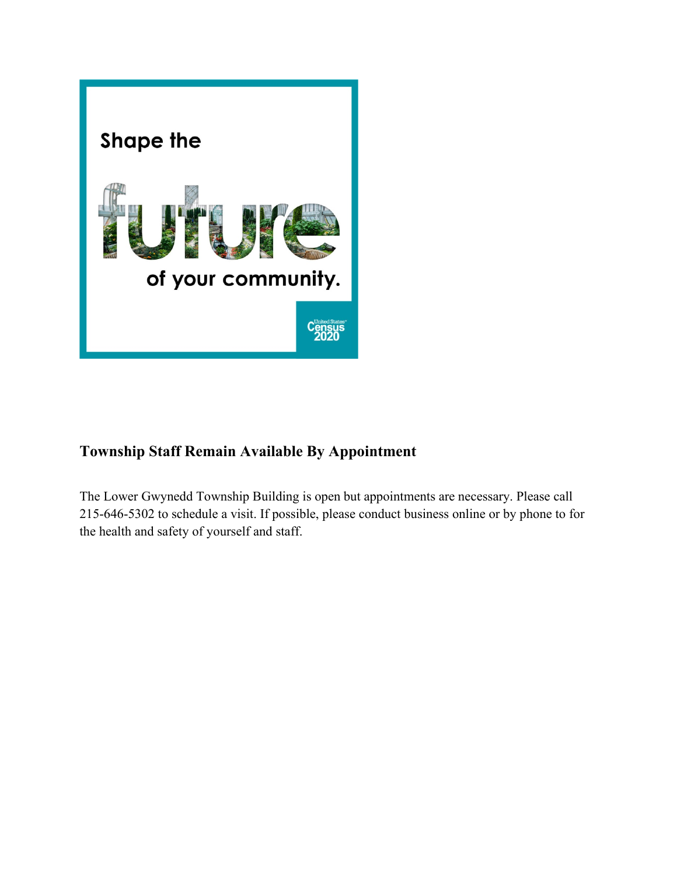

# **Township Staff Remain Available By Appointment**

The Lower Gwynedd Township Building is open but appointments are necessary. Please call 215-646-5302 to schedule a visit. If possible, please conduct business online or by phone to for the health and safety of yourself and staff.